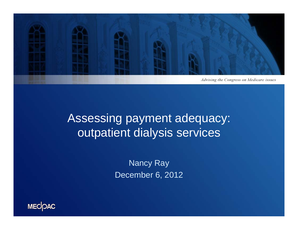

# Assessing payment adequacy: outpatient dialysis services

Nancy Ray December 6, 2012

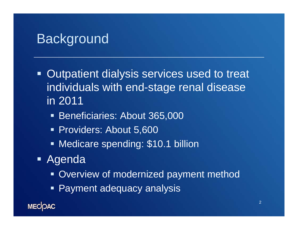#### **Background**

- Ξ Outpatient dialysis services used to treat individuals with end-stage renal disease in 2011
	- **Beneficiaries: About 365,000**
	- Providers: About 5,600
	- **Medicare spending: \$10.1 billion**
- Agenda
	- **Overview of modernized payment method**
	- Payment adequacy analysis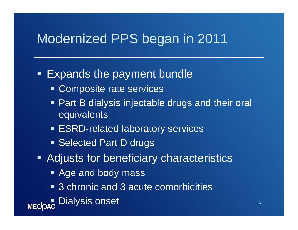## Modernized PPS began in 2011

#### Ξ Expands the payment bundle

- **Composite rate services**
- Part B dialysis injectable drugs and their oral equivalents
- **ESRD-related laboratory services**
- **Selected Part D drugs**
- **Adjusts for beneficiary characteristics** 
	- **Age and body mass**
	- 3 chronic and 3 acute comorbidities

**Dialysis onset**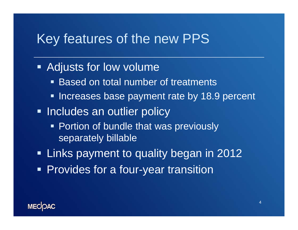## Key features of the new PPS

#### Adjusts for low volume

- $\blacksquare$ ■ Based on total number of treatments
- **Increases base payment rate by 18.9 percent**
- **Includes an outlier policy** 
	- **Portion of bundle that was previously** separately billable
- Links payment to quality began in 2012
- **Provides for a four-year transition**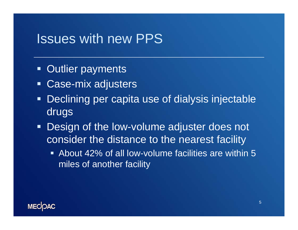#### Issues with new PPS

- $\blacksquare$ Outlier payments
- $\blacksquare$ Case-mix adjusters
- $\blacksquare$  Declining per capita use of dialysis injectable drugs
- **Design of the low-volume adjuster does not** consider the distance to the nearest facility
	- About 42% of all low-volume facilities are within 5 miles of another facility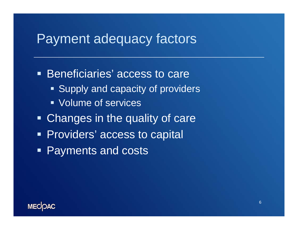#### Payment adequacy factors

**Beneficiaries' access to care Supply and capacity of providers**  Volume of services**- Changes in the quality of care Providers' access to capital** Payments and costs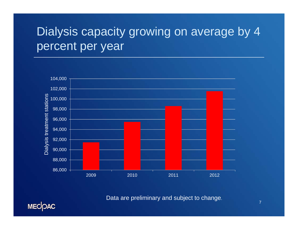# Dialysis capacity growing on average by 4 percent per year



Data are preliminary and subject to change.

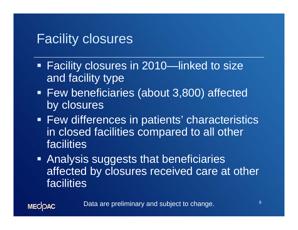### Facility closures

**MECOAC** 

- Facility closures in 2010—linked to size and facility type
- Few beneficiaries (about 3,800) affected by closures
- **Few differences in patients' characteristics** in closed facilities compared to all other facilities
- **Analysis suggests that beneficiaries** affected by closures received care at other facilities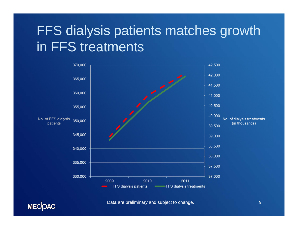# FFS dialysis patients matches growth in FFS treatments



Data are preliminary and subject to change.

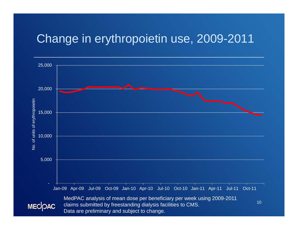#### Change in erythropoietin use, 2009-2011

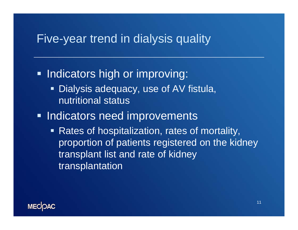#### Five-year trend in dialysis quality

**Indicators high or improving:**  $\blacksquare$  Dialysis adequacy, use of AV fistula, nutritional status**Indicators need improvements** ■ Rates of hospitalization, rates of mortality, proportion of patients registered on the kidney transplant list and rate of kidney transplantation

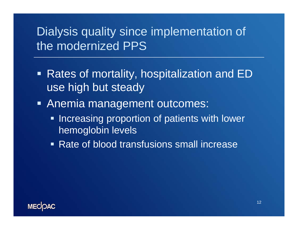# Dialysis quality since implementation of the modernized PPS

- Rates of mortality, hospitalization and ED use high but steady
- Anemia management outcomes:
	- **Increasing proportion of patients with lower** hemoglobin levels
	- Rate of blood transfusions small increase

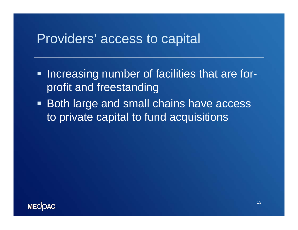#### Providers' access to capital

- **Increasing number of facilities that are for**profit and freestanding
- Both large and small chains have access to private capital to fund acquisitions

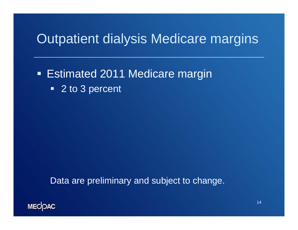# Outpatient dialysis Medicare margins

**Estimated 2011 Medicare margin**  $\blacksquare$ 2 to 3 percent

Data are preliminary and subject to change.